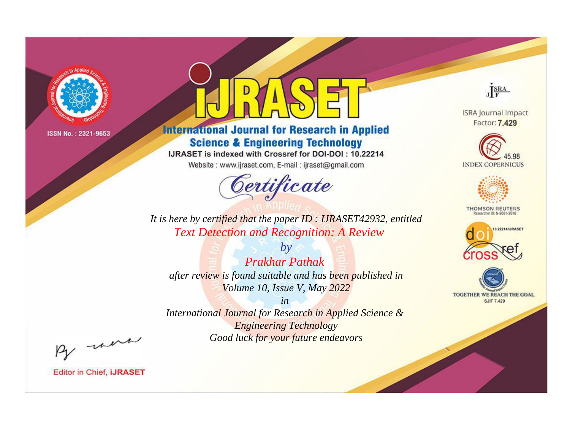

# **International Journal for Research in Applied Science & Engineering Technology**

IJRASET is indexed with Crossref for DOI-DOI: 10.22214

Website: www.ijraset.com, E-mail: ijraset@gmail.com



JERA

**ISRA Journal Impact** Factor: 7.429





**THOMSON REUTERS** 



TOGETHER WE REACH THE GOAL **SJIF 7.429** 

*It is here by certified that the paper ID : IJRASET42932, entitled Text Detection and Recognition: A Review*

*by Prakhar Pathak after review is found suitable and has been published in Volume 10, Issue V, May 2022*

*in* 

*International Journal for Research in Applied Science & Engineering Technology Good luck for your future endeavors*

By morn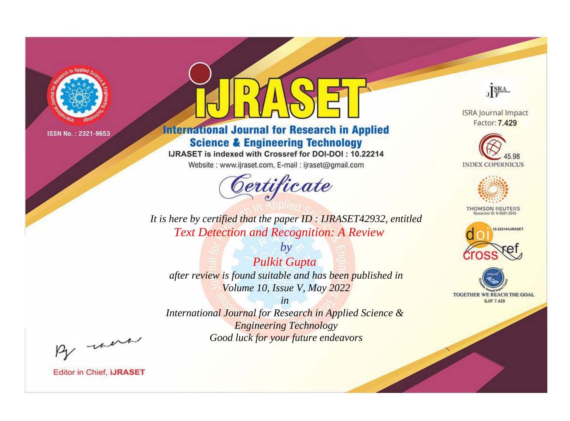

# **International Journal for Research in Applied Science & Engineering Technology**

IJRASET is indexed with Crossref for DOI-DOI: 10.22214

Website: www.ijraset.com, E-mail: ijraset@gmail.com

![](_page_1_Picture_6.jpeg)

JERA

**ISRA Journal Impact** Factor: 7.429

![](_page_1_Picture_9.jpeg)

![](_page_1_Picture_10.jpeg)

**THOMSON REUTERS** 

![](_page_1_Picture_12.jpeg)

TOGETHER WE REACH THE GOAL **SJIF 7.429** 

It is here by certified that the paper ID: IJRASET42932, entitled **Text Detection and Recognition: A Review** 

 $by$ **Pulkit Gupta** after review is found suitable and has been published in Volume 10, Issue V, May 2022

 $in$ International Journal for Research in Applied Science & **Engineering Technology** Good luck for your future endeavors

By morn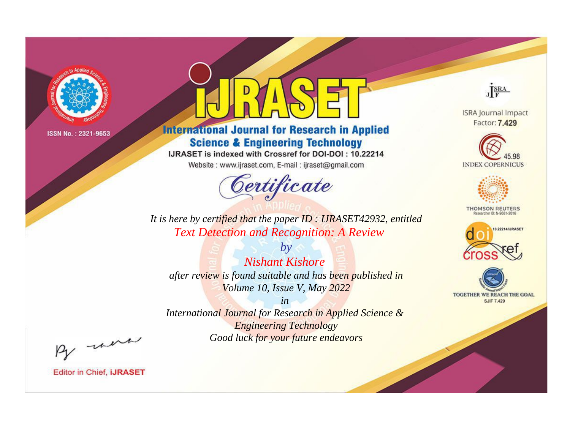![](_page_2_Picture_0.jpeg)

# **International Journal for Research in Applied Science & Engineering Technology**

IJRASET is indexed with Crossref for DOI-DOI: 10.22214

Website: www.ijraset.com, E-mail: ijraset@gmail.com

![](_page_2_Picture_6.jpeg)

JERA

**ISRA Journal Impact** Factor: 7.429

![](_page_2_Picture_9.jpeg)

![](_page_2_Picture_10.jpeg)

**THOMSON REUTERS** 

![](_page_2_Picture_12.jpeg)

TOGETHER WE REACH THE GOAL **SJIF 7.429** 

*It is here by certified that the paper ID : IJRASET42932, entitled Text Detection and Recognition: A Review*

*by Nishant Kishore after review is found suitable and has been published in Volume 10, Issue V, May 2022*

*in International Journal for Research in Applied Science &* 

*Engineering Technology Good luck for your future endeavors*

By morn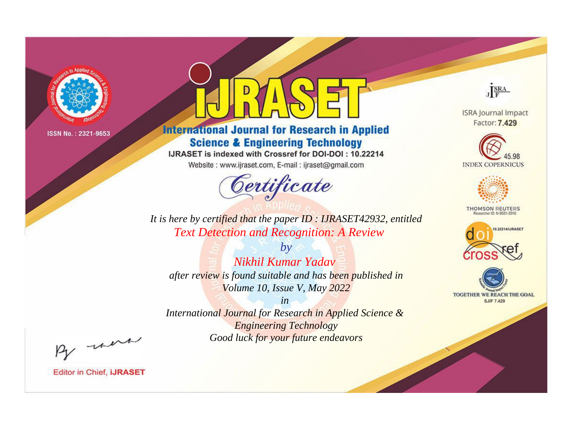![](_page_3_Picture_0.jpeg)

# **International Journal for Research in Applied Science & Engineering Technology**

IJRASET is indexed with Crossref for DOI-DOI: 10.22214

Website: www.ijraset.com, E-mail: ijraset@gmail.com

![](_page_3_Picture_6.jpeg)

JERA

**ISRA Journal Impact** Factor: 7.429

![](_page_3_Picture_9.jpeg)

![](_page_3_Picture_10.jpeg)

**THOMSON REUTERS** 

![](_page_3_Picture_12.jpeg)

TOGETHER WE REACH THE GOAL **SJIF 7.429** 

It is here by certified that the paper ID : IJRASET42932, entitled **Text Detection and Recognition: A Review** 

Nikhil Kumar Yadav after review is found suitable and has been published in Volume 10, Issue V, May 2022

 $b\nu$ 

 $in$ International Journal for Research in Applied Science & **Engineering Technology** Good luck for your future endeavors

By morn